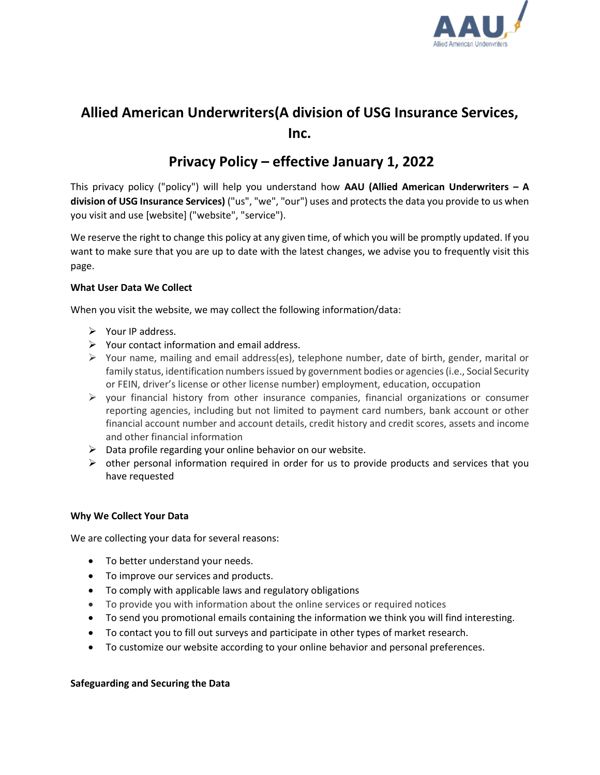

# **Allied American Underwriters(A division of USG Insurance Services, Inc.**

# **Privacy Policy – effective January 1, 2022**

This privacy policy ("policy") will help you understand how **AAU (Allied American Underwriters – A division of USG Insurance Services)** ("us", "we", "our") uses and protects the data you provide to us when you visit and use [website] ("website", "service").

We reserve the right to change this policy at any given time, of which you will be promptly updated. If you want to make sure that you are up to date with the latest changes, we advise you to frequently visit this page.

# **What User Data We Collect**

When you visit the website, we may collect the following information/data:

- $\triangleright$  Your IP address.
- $\triangleright$  Your contact information and email address.
- $\triangleright$  Your name, mailing and email address(es), telephone number, date of birth, gender, marital or family status, identification numbers issued by government bodies or agencies (i.e., Social Security or FEIN, driver's license or other license number) employment, education, occupation
- $\triangleright$  your financial history from other insurance companies, financial organizations or consumer reporting agencies, including but not limited to payment card numbers, bank account or other financial account number and account details, credit history and credit scores, assets and income and other financial information
- $\triangleright$  Data profile regarding your online behavior on our website.
- $\triangleright$  other personal information required in order for us to provide products and services that you have requested

# **Why We Collect Your Data**

We are collecting your data for several reasons:

- To better understand your needs.
- To improve our services and products.
- To comply with applicable laws and regulatory obligations
- To provide you with information about the online services or required notices
- To send you promotional emails containing the information we think you will find interesting.
- To contact you to fill out surveys and participate in other types of market research.
- To customize our website according to your online behavior and personal preferences.

# **Safeguarding and Securing the Data**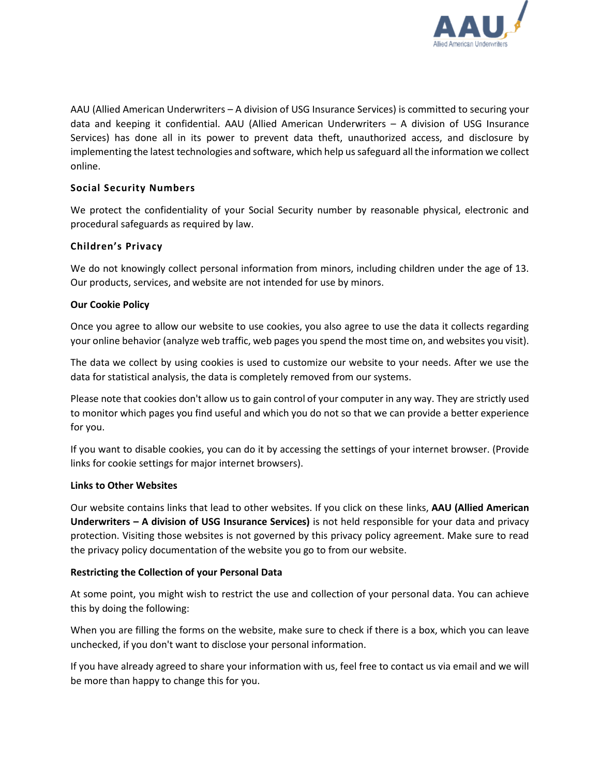

AAU (Allied American Underwriters – A division of USG Insurance Services) is committed to securing your data and keeping it confidential. AAU (Allied American Underwriters – A division of USG Insurance Services) has done all in its power to prevent data theft, unauthorized access, and disclosure by implementing the latest technologies and software, which help us safeguard all the information we collect online.

# **Social Security Numbers**

We protect the confidentiality of your Social Security number by reasonable physical, electronic and procedural safeguards as required by law.

# **Children's Privacy**

We do not knowingly collect personal information from minors, including children under the age of 13. Our products, services, and website are not intended for use by minors.

#### **Our Cookie Policy**

Once you agree to allow our website to use cookies, you also agree to use the data it collects regarding your online behavior (analyze web traffic, web pages you spend the most time on, and websites you visit).

The data we collect by using cookies is used to customize our website to your needs. After we use the data for statistical analysis, the data is completely removed from our systems.

Please note that cookies don't allow us to gain control of your computer in any way. They are strictly used to monitor which pages you find useful and which you do not so that we can provide a better experience for you.

If you want to disable cookies, you can do it by accessing the settings of your internet browser. (Provide links for cookie settings for major internet browsers).

#### **Links to Other Websites**

Our website contains links that lead to other websites. If you click on these links, **AAU (Allied American Underwriters – A division of USG Insurance Services)** is not held responsible for your data and privacy protection. Visiting those websites is not governed by this privacy policy agreement. Make sure to read the privacy policy documentation of the website you go to from our website.

#### **Restricting the Collection of your Personal Data**

At some point, you might wish to restrict the use and collection of your personal data. You can achieve this by doing the following:

When you are filling the forms on the website, make sure to check if there is a box, which you can leave unchecked, if you don't want to disclose your personal information.

If you have already agreed to share your information with us, feel free to contact us via email and we will be more than happy to change this for you.